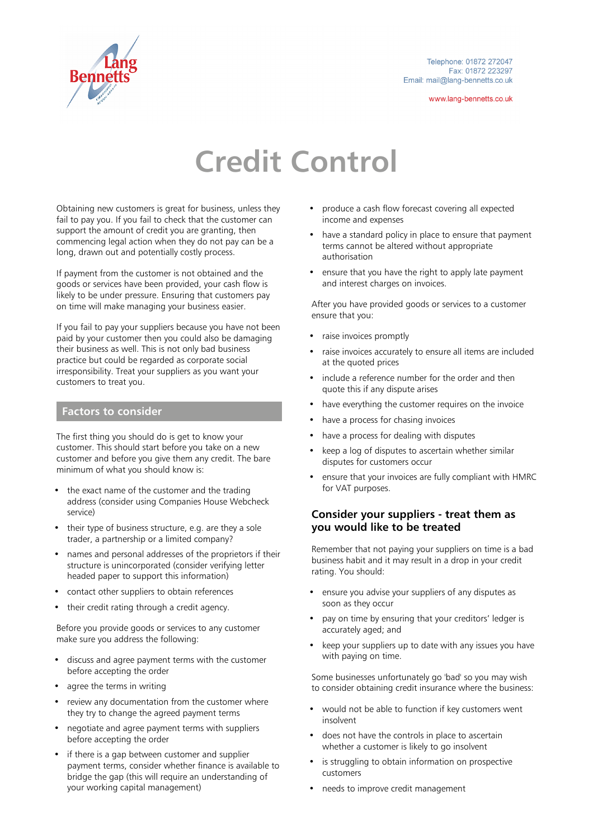

www.lang-bennetts.co.uk

## **Credit Control**

Obtaining new customers is great for business, unless they fail to pay you. If you fail to check that the customer can support the amount of credit you are granting, then commencing legal action when they do not pay can be a long, drawn out and potentially costly process.

If payment from the customer is not obtained and the goods or services have been provided, your cash flow is likely to be under pressure. Ensuring that customers pay on time will make managing your business easier.

If you fail to pay your suppliers because you have not been paid by your customer then you could also be damaging their business as well. This is not only bad business practice but could be regarded as corporate social irresponsibility. Treat your suppliers as you want your customers to treat you.

## **Factors to consider**

The first thing you should do is get to know your customer. This should start before you take on a new customer and before you give them any credit. The bare minimum of what you should know is:

- the exact name of the customer and the trading address (consider using Companies House Webcheck service)
- their type of business structure, e.g. are they a sole trader, a partnership or a limited company?
- names and personal addresses of the proprietors if their structure is unincorporated (consider verifying letter headed paper to support this information)
- contact other suppliers to obtain references
- their credit rating through a credit agency.

Before you provide goods or services to any customer make sure you address the following:

- discuss and agree payment terms with the customer before accepting the order
- agree the terms in writing
- review any documentation from the customer where they try to change the agreed payment terms
- negotiate and agree payment terms with suppliers before accepting the order
- if there is a gap between customer and supplier payment terms, consider whether finance is available to bridge the gap (this will require an understanding of your working capital management)
- produce a cash flow forecast covering all expected income and expenses
- have a standard policy in place to ensure that payment terms cannot be altered without appropriate authorisation
- ensure that you have the right to apply late payment and interest charges on invoices.

After you have provided goods or services to a customer ensure that you:

- raise invoices promptly
- raise invoices accurately to ensure all items are included at the quoted prices
- include a reference number for the order and then quote this if any dispute arises
- have everything the customer requires on the invoice
- have a process for chasing invoices
- have a process for dealing with disputes
- keep a log of disputes to ascertain whether similar disputes for customers occur
- ensure that your invoices are fully compliant with HMRC for VAT purposes.

## **Consider your suppliers - treat them as you would like to be treated**

Remember that not paying your suppliers on time is a bad business habit and it may result in a drop in your credit rating. You should:

- ensure you advise your suppliers of any disputes as soon as they occur
- pay on time by ensuring that your creditors' ledger is accurately aged; and
- keep your suppliers up to date with any issues you have with paying on time.

Some businesses unfortunately go 'bad' so you may wish to consider obtaining credit insurance where the business:

- would not be able to function if key customers went insolvent
- does not have the controls in place to ascertain whether a customer is likely to go insolvent
- is struggling to obtain information on prospective customers
- needs to improve credit management